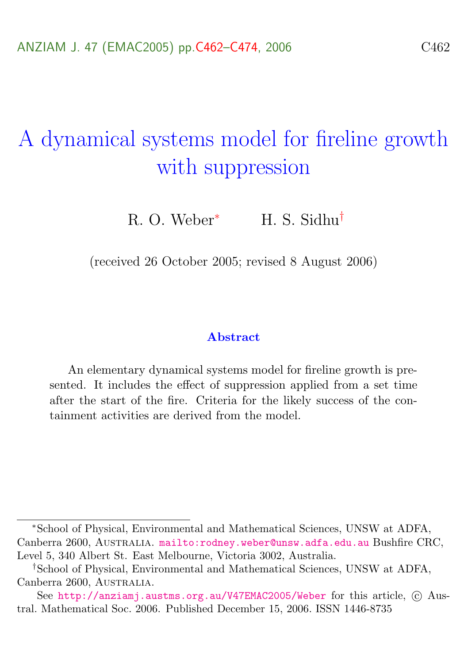# <span id="page-0-0"></span>A dynamical systems model for fireline growth with suppression

R. O. Weber<sup>∗</sup> H. S. Sidhu†

(received 26 October 2005; revised 8 August 2006)

#### Abstract

An elementary dynamical systems model for fireline growth is presented. It includes the effect of suppression applied from a set time after the start of the fire. Criteria for the likely success of the containment activities are derived from the model.

<sup>∗</sup>School of Physical, Environmental and Mathematical Sciences, UNSW at ADFA, Canberra 2600, AUSTRALIA. <mailto:rodney.weber@unsw.adfa.edu.au> Bushfire CRC, Level 5, 340 Albert St. East Melbourne, Victoria 3002, Australia.

<sup>†</sup>School of Physical, Environmental and Mathematical Sciences, UNSW at ADFA, Canberra 2600, AUSTRALIA.

See <http://anziamj.austms.org.au/V47EMAC2005/Weber> for this article,  $\odot$  Austral. Mathematical Soc. 2006. Published December 15, 2006. ISSN 1446-8735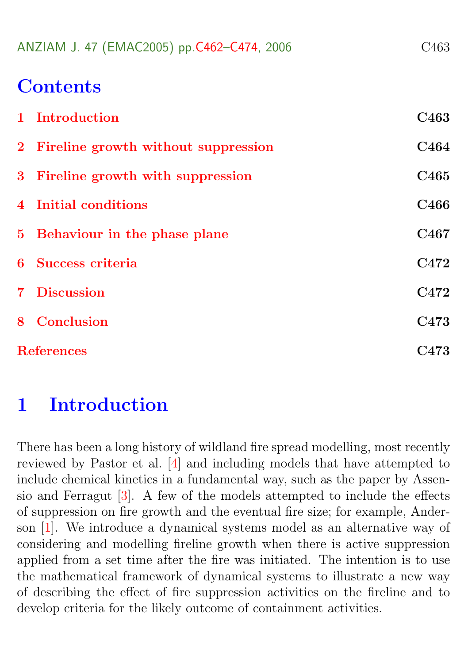<span id="page-1-1"></span>

|  |  | ANZIAM J. 47 (EMAC2005) pp.C462-C474, 2006 | C <sub>463</sub> |
|--|--|--------------------------------------------|------------------|
|--|--|--------------------------------------------|------------------|

# **Contents**

| 1 Introduction                        | C <sub>463</sub> |  |
|---------------------------------------|------------------|--|
| 2 Fireline growth without suppression | C <sub>464</sub> |  |
| 3 Fireline growth with suppression    | C <sub>465</sub> |  |
| 4 Initial conditions                  | C <sub>466</sub> |  |
| 5 Behaviour in the phase plane        | C <sub>467</sub> |  |
| 6 Success criteria                    | C472             |  |
| 7 Discussion                          | C472             |  |
| 8 Conclusion                          | C <sub>473</sub> |  |
| <b>References</b>                     |                  |  |

### <span id="page-1-0"></span>1 Introduction

There has been a long history of wildland fire spread modelling, most recently reviewed by Pastor et al. [\[4\]](#page-12-0) and including models that have attempted to include chemical kinetics in a fundamental way, such as the paper by Assensio and Ferragut [\[3\]](#page-12-1). A few of the models attempted to include the effects of suppression on fire growth and the eventual fire size; for example, Anderson [\[1\]](#page-11-2). We introduce a dynamical systems model as an alternative way of considering and modelling fireline growth when there is active suppression applied from a set time after the fire was initiated. The intention is to use the mathematical framework of dynamical systems to illustrate a new way of describing the effect of fire suppression activities on the fireline and to develop criteria for the likely outcome of containment activities.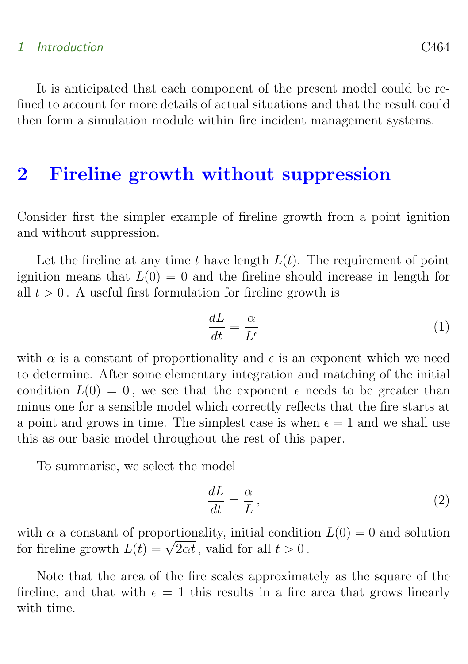#### 1 Introduction C464

It is anticipated that each component of the present model could be refined to account for more details of actual situations and that the result could then form a simulation module within fire incident management systems.

### <span id="page-2-0"></span>2 Fireline growth without suppression

Consider first the simpler example of fireline growth from a point ignition and without suppression.

Let the fireline at any time t have length  $L(t)$ . The requirement of point ignition means that  $L(0) = 0$  and the fireline should increase in length for all  $t > 0$ . A useful first formulation for fireline growth is

$$
\frac{dL}{dt} = \frac{\alpha}{L^{\epsilon}}\tag{1}
$$

with  $\alpha$  is a constant of proportionality and  $\epsilon$  is an exponent which we need to determine. After some elementary integration and matching of the initial condition  $L(0) = 0$ , we see that the exponent  $\epsilon$  needs to be greater than minus one for a sensible model which correctly reflects that the fire starts at a point and grows in time. The simplest case is when  $\epsilon = 1$  and we shall use this as our basic model throughout the rest of this paper.

To summarise, we select the model

$$
\frac{dL}{dt} = \frac{\alpha}{L},\tag{2}
$$

with  $\alpha$  a constant of proportionality, initial condition  $L(0) = 0$  and solution with  $\alpha$  a constant of proportionality, initial condition<br>for fireline growth  $L(t) = \sqrt{2\alpha t}$ , valid for all  $t > 0$ .

Note that the area of the fire scales approximately as the square of the fireline, and that with  $\epsilon = 1$  this results in a fire area that grows linearly with time.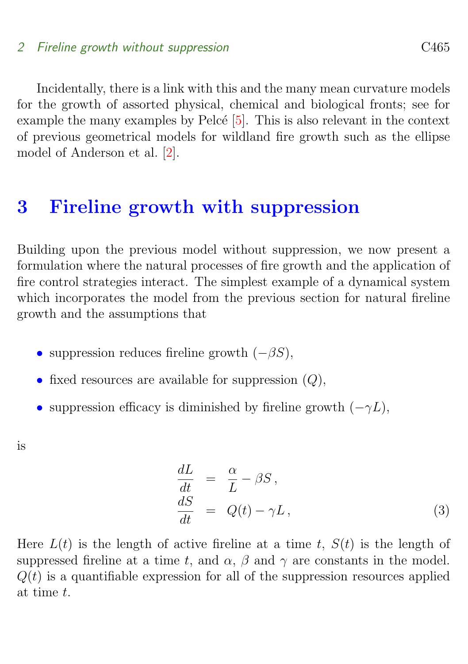<span id="page-3-2"></span>Incidentally, there is a link with this and the many mean curvature models for the growth of assorted physical, chemical and biological fronts; see for example the many examples by Pelcé  $[5]$ . This is also relevant in the context of previous geometrical models for wildland fire growth such as the ellipse model of Anderson et al. [\[2\]](#page-11-3).

### <span id="page-3-0"></span>3 Fireline growth with suppression

Building upon the previous model without suppression, we now present a formulation where the natural processes of fire growth and the application of fire control strategies interact. The simplest example of a dynamical system which incorporates the model from the previous section for natural fireline growth and the assumptions that

- suppression reduces fireline growth  $(-\beta S)$ ,
- fixed resources are available for suppression  $(Q)$ ,
- suppression efficacy is diminished by fireline growth  $(-\gamma L)$ ,

is

<span id="page-3-1"></span>
$$
\begin{array}{rcl}\n\frac{dL}{dt} & = & \frac{\alpha}{L} - \beta S, \\
\frac{dS}{dt} & = & Q(t) - \gamma L,\n\end{array} \tag{3}
$$

Here  $L(t)$  is the length of active fireline at a time t,  $S(t)$  is the length of suppressed fireline at a time t, and  $\alpha$ ,  $\beta$  and  $\gamma$  are constants in the model.  $Q(t)$  is a quantifiable expression for all of the suppression resources applied at time t.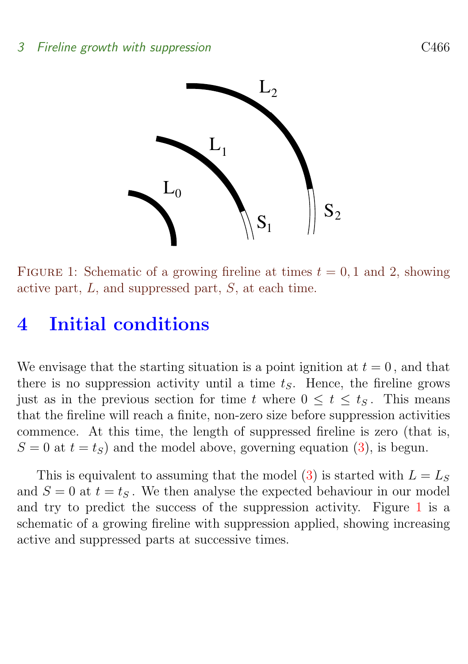

<span id="page-4-2"></span>FIGURE 1: Schematic of a growing fireline at times  $t = 0, 1$  and 2, showing active part,  $L$ , and suppressed part,  $S$ , at each time.

# <span id="page-4-0"></span>4 Initial conditions

We envisage that the starting situation is a point ignition at  $t = 0$ , and that there is no suppression activity until a time  $t<sub>S</sub>$ . Hence, the fireline grows just as in the previous section for time t where  $0 \leq t \leq t_S$ . This means that the fireline will reach a finite, non-zero size before suppression activities commence. At this time, the length of suppressed fireline is zero (that is,  $S = 0$  at  $t = t<sub>S</sub>$ ) and the model above, governing equation [\(3\)](#page-3-1), is begun.

<span id="page-4-1"></span>This is equivalent to assuming that the model [\(3\)](#page-3-1) is started with  $L = L_S$ and  $S = 0$  at  $t = t<sub>S</sub>$ . We then analyse the expected behaviour in our model and try to predict the success of the suppression activity. Figure [1](#page-4-2) is a schematic of a growing fireline with suppression applied, showing increasing active and suppressed parts at successive times.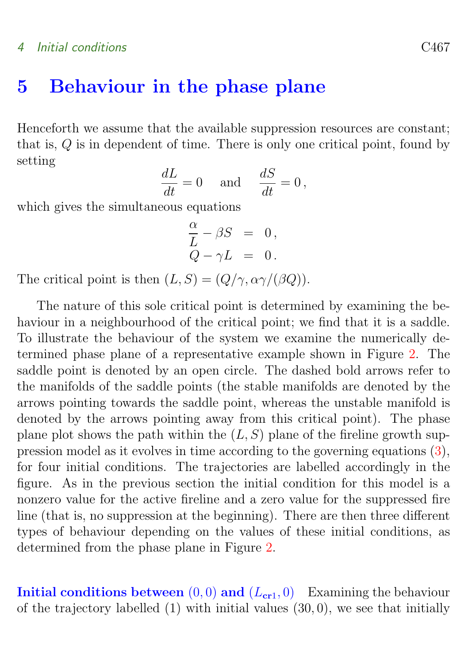#### 4 Initial conditions C467

### 5 Behaviour in the phase plane

Henceforth we assume that the available suppression resources are constant; that is, Q is in dependent of time. There is only one critical point, found by setting

$$
\frac{dL}{dt} = 0 \quad \text{and} \quad \frac{dS}{dt} = 0,
$$

which gives the simultaneous equations

$$
\frac{\alpha}{L} - \beta S = 0, Q - \gamma L = 0.
$$

The critical point is then  $(L, S) = (Q/\gamma, \alpha \gamma/(\beta Q)).$ 

The nature of this sole critical point is determined by examining the behaviour in a neighbourhood of the critical point; we find that it is a saddle. To illustrate the behaviour of the system we examine the numerically determined phase plane of a representative example shown in Figure [2.](#page-6-0) The saddle point is denoted by an open circle. The dashed bold arrows refer to the manifolds of the saddle points (the stable manifolds are denoted by the arrows pointing towards the saddle point, whereas the unstable manifold is denoted by the arrows pointing away from this critical point). The phase plane plot shows the path within the  $(L, S)$  plane of the fireline growth suppression model as it evolves in time according to the governing equations [\(3\)](#page-3-1), for four initial conditions. The trajectories are labelled accordingly in the figure. As in the previous section the initial condition for this model is a nonzero value for the active fireline and a zero value for the suppressed fire line (that is, no suppression at the beginning). There are then three different types of behaviour depending on the values of these initial conditions, as determined from the phase plane in Figure [2.](#page-6-0)

Initial conditions between  $(0, 0)$  and  $(L_{cr1}, 0)$  Examining the behaviour of the trajectory labelled  $(1)$  with initial values  $(30, 0)$ , we see that initially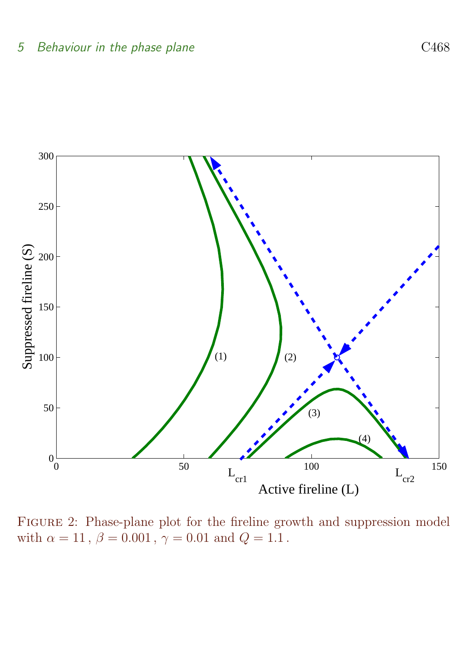

<span id="page-6-0"></span>Figure 2: Phase-plane plot for the fireline growth and suppression model with  $\alpha = 11$ ,  $\beta = 0.001$ ,  $\gamma = 0.01$  and  $Q = 1.1$ .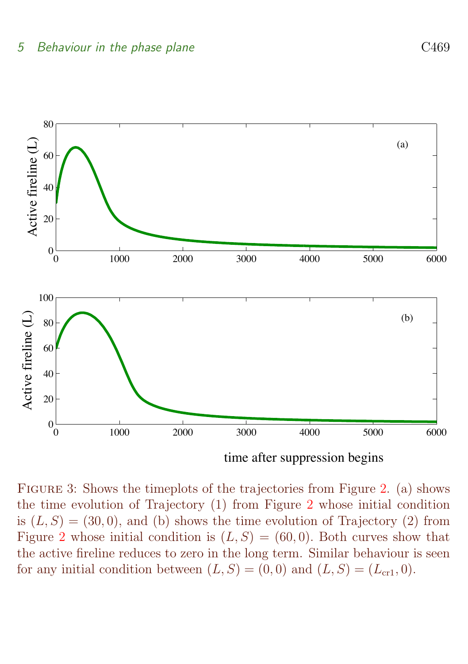

time after suppression begins

<span id="page-7-0"></span>Figure 3: Shows the timeplots of the trajectories from Figure [2.](#page-6-0) (a) shows the time evolution of Trajectory (1) from Figure [2](#page-6-0) whose initial condition is  $(L, S) = (30, 0)$ , and (b) shows the time evolution of Trajectory (2) from Figure [2](#page-6-0) whose initial condition is  $(L, S) = (60, 0)$ . Both curves show that the active fireline reduces to zero in the long term. Similar behaviour is seen for any initial condition between  $(L, S) = (0, 0)$  and  $(L, S) = (L_{cr1}, 0)$ .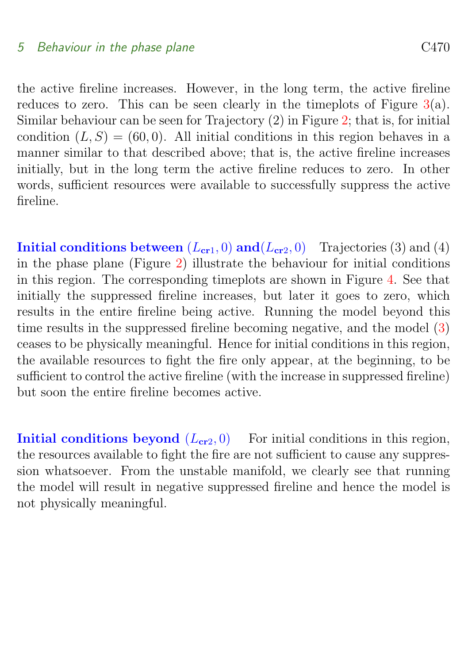#### 5 Behaviour in the phase plane C470

the active fireline increases. However, in the long term, the active fireline reduces to zero. This can be seen clearly in the timeplots of Figure  $3(a)$  $3(a)$ . Similar behaviour can be seen for Trajectory (2) in Figure [2;](#page-6-0) that is, for initial condition  $(L, S) = (60, 0)$ . All initial conditions in this region behaves in a manner similar to that described above; that is, the active fireline increases initially, but in the long term the active fireline reduces to zero. In other words, sufficient resources were available to successfully suppress the active fireline.

Initial conditions between  $(L_{cr1}, 0)$  and  $(L_{cr2}, 0)$  Trajectories (3) and (4) in the phase plane (Figure [2\)](#page-6-0) illustrate the behaviour for initial conditions in this region. The corresponding timeplots are shown in Figure [4.](#page-9-0) See that initially the suppressed fireline increases, but later it goes to zero, which results in the entire fireline being active. Running the model beyond this time results in the suppressed fireline becoming negative, and the model [\(3\)](#page-3-1) ceases to be physically meaningful. Hence for initial conditions in this region, the available resources to fight the fire only appear, at the beginning, to be sufficient to control the active fireline (with the increase in suppressed fireline) but soon the entire fireline becomes active.

<span id="page-8-0"></span>Initial conditions beyond  $(L_{cr2}, 0)$  For initial conditions in this region, the resources available to fight the fire are not sufficient to cause any suppression whatsoever. From the unstable manifold, we clearly see that running the model will result in negative suppressed fireline and hence the model is not physically meaningful.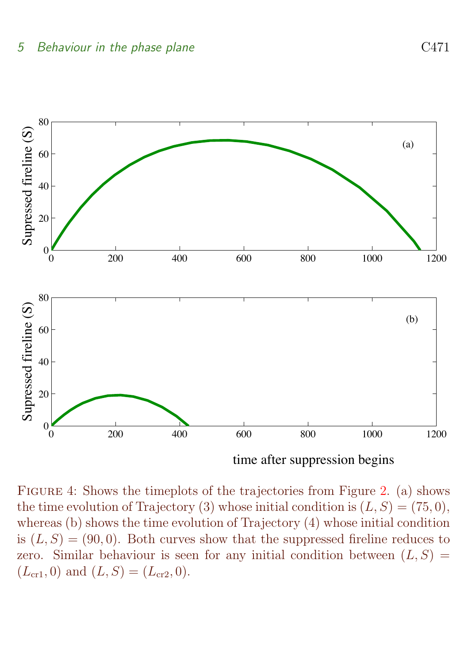

time after suppression begins

<span id="page-9-0"></span>Figure 4: Shows the timeplots of the trajectories from Figure [2.](#page-6-0) (a) shows the time evolution of Trajectory (3) whose initial condition is  $(L, S) = (75, 0)$ , whereas (b) shows the time evolution of Trajectory (4) whose initial condition is  $(L, S) = (90, 0)$ . Both curves show that the suppressed fireline reduces to zero. Similar behaviour is seen for any initial condition between  $(L, S)$  $(L_{cr1}, 0)$  and  $(L, S) = (L_{cr2}, 0)$ .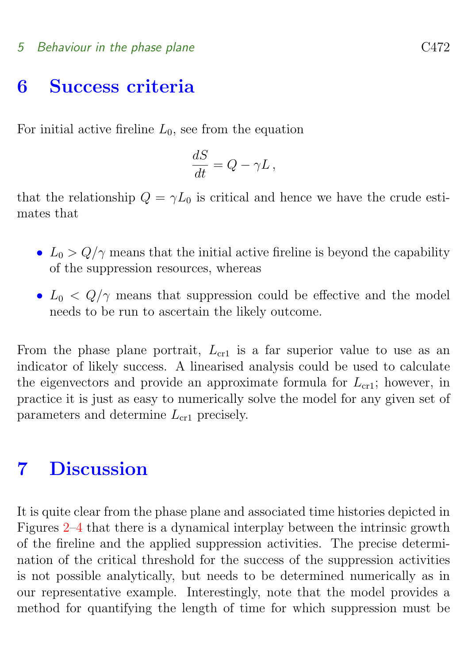#### 5 Behaviour in the phase plane C472

### 6 Success criteria

For initial active fireline  $L_0$ , see from the equation

$$
\frac{dS}{dt} = Q - \gamma L \,,
$$

that the relationship  $Q = \gamma L_0$  is critical and hence we have the crude estimates that

- $L_0 > Q/\gamma$  means that the initial active fireline is beyond the capability of the suppression resources, whereas
- $L_0 < Q/\gamma$  means that suppression could be effective and the model needs to be run to ascertain the likely outcome.

From the phase plane portrait,  $L_{cr1}$  is a far superior value to use as an indicator of likely success. A linearised analysis could be used to calculate the eigenvectors and provide an approximate formula for  $L_{cr1}$ ; however, in practice it is just as easy to numerically solve the model for any given set of parameters and determine  $L_{cr1}$  precisely.

# <span id="page-10-0"></span>7 Discussion

It is quite clear from the phase plane and associated time histories depicted in Figures [2](#page-6-0)[–4](#page-9-0) that there is a dynamical interplay between the intrinsic growth of the fireline and the applied suppression activities. The precise determination of the critical threshold for the success of the suppression activities is not possible analytically, but needs to be determined numerically as in our representative example. Interestingly, note that the model provides a method for quantifying the length of time for which suppression must be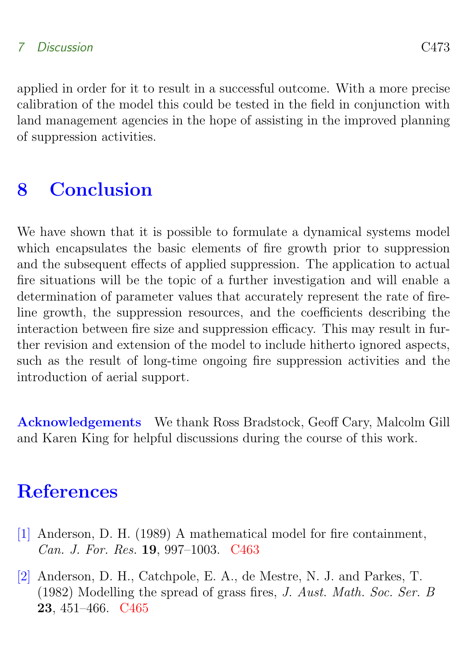### 7 Discussion C473

applied in order for it to result in a successful outcome. With a more precise calibration of the model this could be tested in the field in conjunction with land management agencies in the hope of assisting in the improved planning of suppression activities.

# <span id="page-11-1"></span>8 Conclusion

We have shown that it is possible to formulate a dynamical systems model which encapsulates the basic elements of fire growth prior to suppression and the subsequent effects of applied suppression. The application to actual fire situations will be the topic of a further investigation and will enable a determination of parameter values that accurately represent the rate of fireline growth, the suppression resources, and the coefficients describing the interaction between fire size and suppression efficacy. This may result in further revision and extension of the model to include hitherto ignored aspects, such as the result of long-time ongoing fire suppression activities and the introduction of aerial support.

Acknowledgements We thank Ross Bradstock, Geoff Cary, Malcolm Gill and Karen King for helpful discussions during the course of this work.

# **References**

- <span id="page-11-2"></span><span id="page-11-0"></span>[1] Anderson, D. H. (1989) A mathematical model for fire containment, Can. J. For. Res. 19, 997–1003. [C463](#page-1-1)
- <span id="page-11-3"></span>[2] Anderson, D. H., Catchpole, E. A., de Mestre, N. J. and Parkes, T. (1982) Modelling the spread of grass fires, J. Aust. Math. Soc. Ser. B 23, 451–466. [C465](#page-3-2)